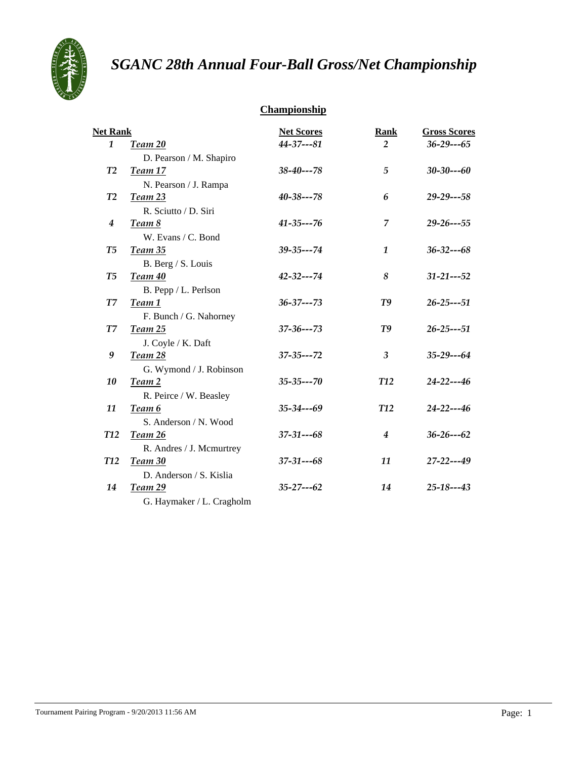

# *SGANC 28th Annual Four-Ball Gross/Net Championship*

## **Championship**

| <b>Net Rank</b>    |                           | <b>Net Scores</b> | <b>Rank</b> | <b>Gross Scores</b> |
|--------------------|---------------------------|-------------------|-------------|---------------------|
| 1                  | Team 20                   | 44-37---81        | 2           | $36 - 29 - -65$     |
|                    | D. Pearson / M. Shapiro   |                   |             |                     |
| T2                 | Team 17                   | $38 - 40 - -78$   | 5           | $30 - 30 - -60$     |
|                    | N. Pearson / J. Rampa     |                   |             |                     |
| T2                 | Team 23                   | $40 - 38 - -78$   | 6           | $29 - 29 - -58$     |
|                    | R. Sciutto / D. Siri      |                   |             |                     |
| $\boldsymbol{4}$   | Team 8                    | $41 - 35 - -76$   | 7           | $29 - 26 - -55$     |
|                    | W. Evans / C. Bond        |                   |             |                     |
| T <sub>5</sub>     | Team 35                   | $39 - 35 - -74$   | 1           | $36 - 32 - -68$     |
|                    | B. Berg / S. Louis        |                   |             |                     |
| T5                 | Team 40                   | $42 - 32 - -74$   | 8           | $31 - 21 - -52$     |
|                    | B. Pepp / L. Perlson      |                   |             |                     |
| ${\cal T}{\cal T}$ | Team 1                    | $36 - 37 - -73$   | T9          | $26 - 25 - -51$     |
|                    | F. Bunch / G. Nahorney    |                   |             |                     |
| T7                 | <b>Team 25</b>            | $37 - 36 - -73$   | T9          | $26 - 25 - -51$     |
|                    | J. Coyle / K. Daft        |                   |             |                     |
| 9                  | Team 28                   | $37 - 35 - -72$   | 3           | $35 - 29 - -64$     |
|                    | G. Wymond / J. Robinson   |                   |             |                     |
| 10                 | Team 2                    | $35 - 35 - -70$   | <b>T12</b>  | $24 - 22 - -46$     |
|                    | R. Peirce / W. Beasley    |                   |             |                     |
| 11                 | Team 6                    | $35 - 34 - -69$   | <b>T12</b>  | $24 - 22 - -46$     |
|                    | S. Anderson / N. Wood     |                   |             |                     |
| <b>T12</b>         | Team 26                   | $37 - 31 - -68$   | 4           | $36 - 26 - -62$     |
|                    | R. Andres / J. Mcmurtrey  |                   |             |                     |
| <b>T12</b>         | Team 30                   | $37 - 31 - -68$   | 11          | 27-22---49          |
|                    | D. Anderson / S. Kislia   |                   |             |                     |
| 14                 | Team 29                   | $35 - 27 - -62$   | 14          | $25 - 18 - -43$     |
|                    | G. Haymaker / L. Cragholm |                   |             |                     |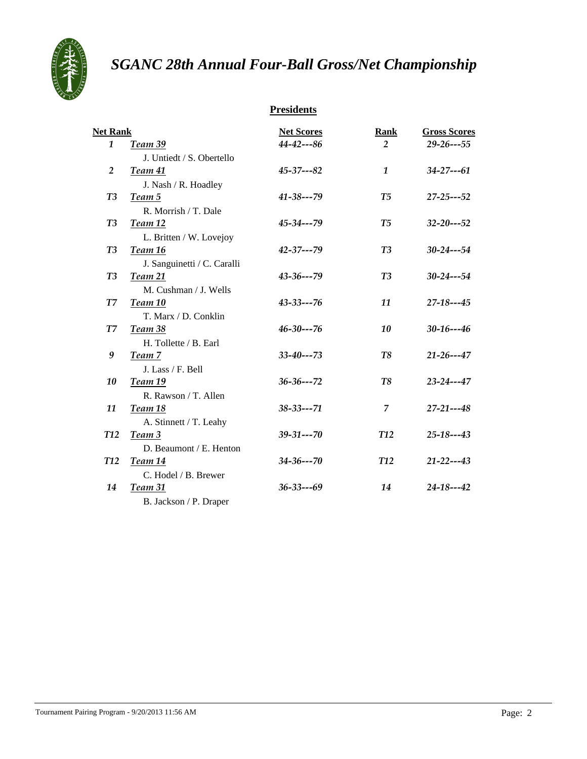

# *SGANC 28th Annual Four-Ball Gross/Net Championship*

## **Presidents**

| <b>Net Rank</b> |                             | <b>Net Scores</b> | <b>Rank</b>    | <b>Gross Scores</b> |
|-----------------|-----------------------------|-------------------|----------------|---------------------|
| $\mathbf{1}$    | Team 39                     | $44 - 42 - -86$   | $\overline{2}$ | $29 - 26 - -55$     |
|                 | J. Untiedt / S. Obertello   |                   |                |                     |
| 2               | Team 41                     | $45 - 37 - (-82)$ | $\mathbf{1}$   | $34 - 27 - -61$     |
|                 | J. Nash / R. Hoadley        |                   |                |                     |
| T <sub>3</sub>  | Team 5                      | $41 - 38 - -79$   | T <sub>5</sub> | $27 - 25 - -52$     |
|                 | R. Morrish / T. Dale        |                   |                |                     |
| T <sub>3</sub>  | Team 12                     | $45 - 34 - -79$   | T <sub>5</sub> | $32 - 20 - -52$     |
|                 | L. Britten / W. Lovejoy     |                   |                |                     |
| T3              | Team 16                     | $42 - 37 - 79$    | T3             | $30 - 24 - -54$     |
|                 | J. Sanguinetti / C. Caralli |                   |                |                     |
| T <sub>3</sub>  | Team 21                     | $43 - 36 - -79$   | T3             | $30 - 24 - -54$     |
|                 | M. Cushman / J. Wells       |                   |                |                     |
| $T\overline{Z}$ | Team 10                     | $43 - 33 - -76$   | 11             | $27 - 18 - -45$     |
|                 | T. Marx / D. Conklin        |                   |                |                     |
| T7              | <b>Team 38</b>              | $46 - 30 - -76$   | 10             | $30 - 16 - -46$     |
|                 | H. Tollette / B. Earl       |                   |                |                     |
| 9               | Team 7                      | $33 - 40 - -73$   | T8             | $21 - 26 - -47$     |
|                 | J. Lass / F. Bell           |                   |                |                     |
| 10              | Team 19                     | $36 - 36 - -72$   | T8             | $23 - 24 - -47$     |
|                 | R. Rawson / T. Allen        |                   |                |                     |
| 11              | <b>Team 18</b>              | $38 - 33 - -71$   | 7              | $27 - 21 - -48$     |
|                 | A. Stinnett / T. Leahy      |                   |                |                     |
| <b>T12</b>      | Team 3                      | $39 - 31 - -70$   | <b>T12</b>     | $25 - 18 - -43$     |
|                 | D. Beaumont / E. Henton     |                   |                |                     |
| <b>T12</b>      | Team 14                     | $34 - 36 - -70$   | <b>T12</b>     | $21 - 22 - -43$     |
|                 | C. Hodel / B. Brewer        |                   |                |                     |
| 14              | Team 31                     | $36 - 33 - -69$   | 14             | $24 - 18 - -42$     |
|                 | B. Jackson / P. Draper      |                   |                |                     |